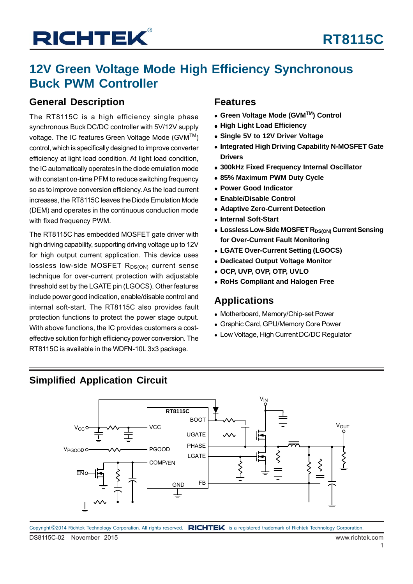## **12V Green Voltage Mode High Efficiency Synchronous Buck PWM Controller**

### **General Description**

The RT8115C is a high efficiency single phase synchronous Buck DC/DC controller with 5V/12V supply voltage. The IC features Green Voltage Mode (GVM™) control, which is specifically designed to improve converter efficiency at light load condition. At light load condition, the IC automatically operates in the diode emulation mode with constant on-time PFM to reduce switching frequency so as to improve conversion efficiency. As the load current increases, the RT8115C leaves the Diode Emulation Mode (DEM) and operates in the continuous conduction mode with fixed frequency PWM.

The RT8115C has embedded MOSFET gate driver with high driving capability, supporting driving voltage up to 12V for high output current application. This device uses lossless low-side MOSFET  $R_{DS(ON)}$  current sense technique for over-current protection with adjustable threshold set by the LGATE pin (LGOCS). Other features include power good indication, enable/disable control and internal soft-start. The RT8115C also provides fault protection functions to protect the power stage output. With above functions, the IC provides customers a costeffective solution for high efficiency power conversion. The RT8115C is available in the WDFN-10L 3x3 package.

### **Features**

- **Green Voltage Mode (GVMTM) Control**
- **High Light Load Efficiency**
- **Single 5V to 12V Driver Voltage**
- **Integrated High Driving Capability N-MOSFET Gate Drivers**
- **300kHz Fixed Frequency Internal Oscillator**
- **85% Maximum PWM Duty Cycle**
- **Power Good Indicator**
- **Enable/Disable Control**
- **Adaptive Zero-Current Detection**
- **Internal Soft-Start**
- **.** Lossless Low-Side MOSFET R<sub>DS(ON)</sub> Current Sensing **for Over-Current Fault Monitoring**
- **LGATE Over-Current Setting (LGOCS)**
- **Dedicated Output Voltage Monitor**
- **OCP, UVP, OVP, OTP, UVLO**
- **RoHs Compliant and Halogen Free**

### **Applications**

- Motherboard, Memory/Chip-set Power
- Graphic Card, GPU/Memory Core Power
- Low Voltage, High Current DC/DC Regulator

### **Simplified Application Circuit**



DS8115C-02 November 2015 www.richtek.com Copyright ©2014 Richtek Technology Corporation. All rights reserved. RICHTEK is a registered trademark of Richtek Technology Corporation.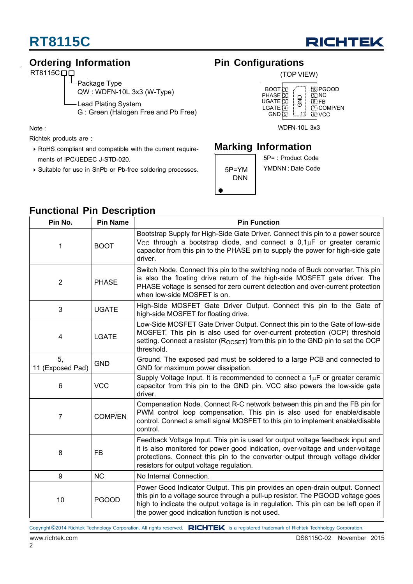

### **Ordering Information**

RT8115C<sub>D</sub>D

Package Type QW : WDFN-10L 3x3 (W-Type)

Lead Plating System

G : Green (Halogen Free and Pb Free)

Note :

Richtek products are :

- RoHS compliant and compatible with the current require ments of IPC/JEDEC J-STD-020.
- Suitable for use in SnPb or Pb-free soldering processes.

### **Pin Configurations**



WDFN-10L 3x3

### **Marking Information**



5P= : Product Code YMDNN : Date Code

| Pin No.                | <b>Pin Name</b> | anouonar mir posonipuon<br><b>Pin Function</b>                                                                                                                                                                                                                                                           |  |  |
|------------------------|-----------------|----------------------------------------------------------------------------------------------------------------------------------------------------------------------------------------------------------------------------------------------------------------------------------------------------------|--|--|
| 1                      | <b>BOOT</b>     | Bootstrap Supply for High-Side Gate Driver. Connect this pin to a power source<br>$V_{CC}$ through a bootstrap diode, and connect a $0.1\mu$ F or greater ceramic<br>capacitor from this pin to the PHASE pin to supply the power for high-side gate<br>driver.                                          |  |  |
| $\overline{2}$         | <b>PHASE</b>    | Switch Node. Connect this pin to the switching node of Buck converter. This pin<br>is also the floating drive return of the high-side MOSFET gate driver. The<br>PHASE voltage is sensed for zero current detection and over-current protection<br>when low-side MOSFET is on.                           |  |  |
| 3                      | <b>UGATE</b>    | High-Side MOSFET Gate Driver Output. Connect this pin to the Gate of<br>high-side MOSFET for floating drive.                                                                                                                                                                                             |  |  |
| 4                      | <b>LGATE</b>    | Low-Side MOSFET Gate Driver Output. Connect this pin to the Gate of low-side<br>MOSFET. This pin is also used for over-current protection (OCP) threshold<br>setting. Connect a resistor ( $R_{OCSET}$ ) from this pin to the GND pin to set the OCP<br>threshold.                                       |  |  |
| 5,<br>11 (Exposed Pad) | <b>GND</b>      | Ground. The exposed pad must be soldered to a large PCB and connected to<br>GND for maximum power dissipation.                                                                                                                                                                                           |  |  |
| 6                      | <b>VCC</b>      | Supply Voltage Input. It is recommended to connect a $1\mu$ F or greater ceramic<br>capacitor from this pin to the GND pin. VCC also powers the low-side gate<br>driver.                                                                                                                                 |  |  |
| $\overline{7}$         | <b>COMP/EN</b>  | Compensation Node. Connect R-C network between this pin and the FB pin for<br>PWM control loop compensation. This pin is also used for enable/disable<br>control. Connect a small signal MOSFET to this pin to implement enable/disable<br>control.                                                      |  |  |
| 8                      | <b>FB</b>       | Feedback Voltage Input. This pin is used for output voltage feedback input and<br>it is also monitored for power good indication, over-voltage and under-voltage<br>protections. Connect this pin to the converter output through voltage divider<br>resistors for output voltage regulation.            |  |  |
| 9                      | <b>NC</b>       | No Internal Connection.                                                                                                                                                                                                                                                                                  |  |  |
| 10                     | <b>PGOOD</b>    | Power Good Indicator Output. This pin provides an open-drain output. Connect<br>this pin to a voltage source through a pull-up resistor. The PGOOD voltage goes<br>high to indicate the output voltage is in regulation. This pin can be left open if<br>the power good indication function is not used. |  |  |

**Functional Pin Description**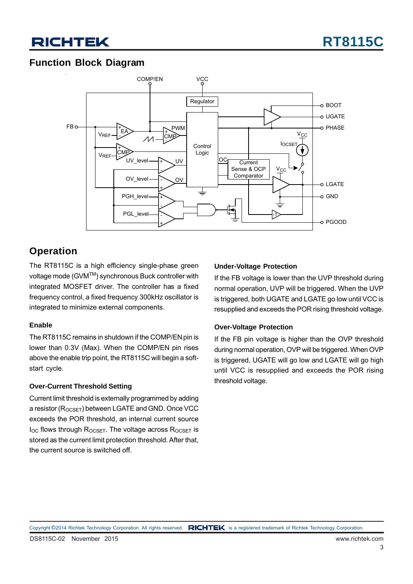### **Function Block Diagram**



### **Operation**

The RT8115C is a high efficiency single-phase green voltage mode (GVMTM) synchronous Buck controller with integrated MOSFET driver. The controller has a fixed frequency control, a fixed frequency 300kHz oscillator is integrated to minimize external components.

#### **Enable**

The RT8115C remains in shutdown if the COMP/EN pin is lower than 0.3V (Max). When the COMP/EN pin rises above the enable trip point, the RT8115C will begin a softstart cycle.

#### **Over-Current Threshold Setting**

Current limit threshold is externally programmed by adding a resistor ( $R_{OCSET}$ ) between LGATE and GND. Once VCC exceeds the POR threshold, an internal current source  $I_{OC}$  flows through  $R_{OCSET}$ . The voltage across  $R_{OCSET}$  is stored as the current limit protection threshold. After that, the current source is switched off.

#### **Under-Voltage Protection**

If the FB voltage is lower than the UVP threshold during normal operation, UVP will be triggered. When the UVP is triggered, both UGATE and LGATE go low until VCC is resupplied and exceeds the POR rising threshold voltage.

#### **Over-Voltage Protection**

If the FB pin voltage is higher than the OVP threshold during normal operation, OVP will be triggered. When OVP is triggered, UGATE will go low and LGATE will go high until VCC is resupplied and exceeds the POR rising threshold voltage.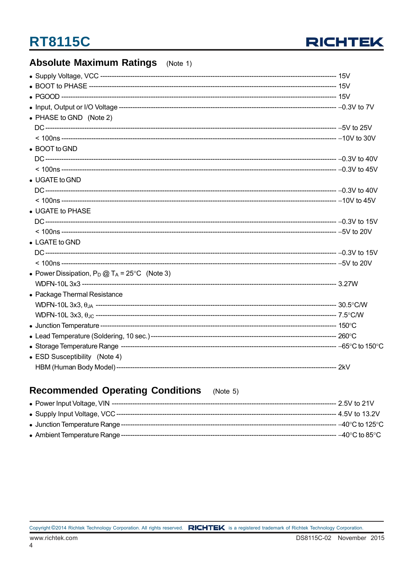

### **Absolute Maximum Ratings** (Note 1)

| • PHASE to GND (Note 2)                                 |  |
|---------------------------------------------------------|--|
|                                                         |  |
|                                                         |  |
| • BOOT to GND                                           |  |
|                                                         |  |
|                                                         |  |
| • UGATE to GND                                          |  |
|                                                         |  |
|                                                         |  |
| • UGATE to PHASE                                        |  |
|                                                         |  |
|                                                         |  |
| • LGATE to GND                                          |  |
|                                                         |  |
|                                                         |  |
| • Power Dissipation, $P_D @ T_A = 25^{\circ}C$ (Note 3) |  |
|                                                         |  |
| • Package Thermal Resistance                            |  |
|                                                         |  |
|                                                         |  |
|                                                         |  |
|                                                         |  |
|                                                         |  |
|                                                         |  |
| • ESD Susceptibility (Note 4)                           |  |
|                                                         |  |

#### **Recommended Operating Conditions**  $(Note 5)$

| • Power Input Voltage, VIN ----  | --- 2.5V to 21V       |
|----------------------------------|-----------------------|
|                                  | --- 4.5V to 13.2V     |
| • Junction Temperature Range --- | - –40°C to 125°C $\,$ |
| • Ambient Temperature Range ---  | - –40°C to 85°C -     |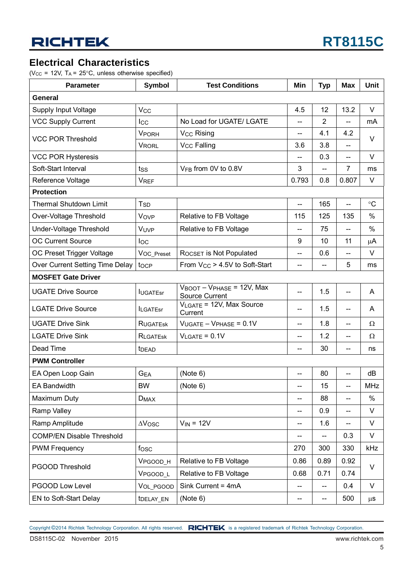### **Electrical Characteristics**

( $V_{CC}$  = 12V,  $T_A$  = 25°C, unless otherwise specified)

| <b>Parameter</b>                 | <b>Symbol</b>     | <b>Test Conditions</b>                                                    | Min                      | <b>Typ</b>               | <b>Max</b>               | Unit            |  |
|----------------------------------|-------------------|---------------------------------------------------------------------------|--------------------------|--------------------------|--------------------------|-----------------|--|
| General                          |                   |                                                                           |                          |                          |                          |                 |  |
| Supply Input Voltage             | Vcc               |                                                                           | 4.5                      | 12                       | 13.2                     | V               |  |
| <b>VCC Supply Current</b>        | <b>Icc</b>        | No Load for UGATE/ LGATE                                                  | --                       | $\overline{2}$           | --                       | mA              |  |
| <b>VCC POR Threshold</b>         | <b>VPORH</b>      | V <sub>CC</sub> Rising                                                    | $\overline{\phantom{a}}$ | 4.1                      | 4.2                      | V               |  |
|                                  | <b>VRORL</b>      | <b>Vcc Falling</b>                                                        | 3.6                      | 3.8                      | --                       |                 |  |
| <b>VCC POR Hysteresis</b>        |                   |                                                                           | $\overline{a}$           | 0.3                      | $-$                      | V               |  |
| Soft-Start Interval              | tss               | V <sub>FB</sub> from 0V to 0.8V                                           | 3                        |                          | $\overline{7}$           | ms              |  |
| Reference Voltage                | <b>VREF</b>       |                                                                           | 0.793                    | 0.8                      | 0.807                    | V               |  |
| <b>Protection</b>                |                   |                                                                           |                          |                          |                          |                 |  |
| <b>Thermal Shutdown Limit</b>    | T <sub>SD</sub>   |                                                                           | $\overline{\phantom{a}}$ | 165                      | --                       | $\rm ^{\circ}C$ |  |
| Over-Voltage Threshold           | Vovp              | Relative to FB Voltage                                                    | 115                      | 125                      | 135                      | %               |  |
| Under-Voltage Threshold          | VUVP              | Relative to FB Voltage                                                    | $\overline{\phantom{a}}$ | 75                       | --                       | %               |  |
| <b>OC Current Source</b>         | loc               |                                                                           | 9                        | 10                       | 11                       | μA              |  |
| OC Preset Trigger Voltage        | VOC_Preset        | ROCSET IS Not Populated                                                   | $\overline{\phantom{a}}$ | 0.6                      | $-$                      | V               |  |
| Over Current Setting Time Delay  | tocp              | From $V_{CC}$ > 4.5V to Soft-Start                                        | $\overline{\phantom{a}}$ | --                       | 5                        | ms              |  |
| <b>MOSFET Gate Driver</b>        |                   |                                                                           |                          |                          |                          |                 |  |
| <b>UGATE Drive Source</b>        | <b>IUGATEST</b>   | $V_{\text{BOOT}} - V_{\text{PHASE}} = 12V$ , Max<br><b>Source Current</b> | $\overline{\phantom{a}}$ | 1.5                      | $\overline{\phantom{a}}$ | A               |  |
| <b>LGATE Drive Source</b>        | <b>ILGATEsr</b>   | VLGATE = 12V, Max Source<br>Current                                       | $\overline{\phantom{a}}$ | 1.5                      | $\overline{a}$           | A               |  |
| <b>UGATE Drive Sink</b>          | <b>RUGATESK</b>   | $VUGATE - VPHASE = 0.1V$                                                  | $-$                      | 1.8                      | $\overline{a}$           | Ω               |  |
| <b>LGATE Drive Sink</b>          | <b>RLGATESK</b>   | $V_{LGATE} = 0.1V$                                                        | $-$                      | 1.2                      | $\overline{a}$           | Ω               |  |
| Dead Time                        | t <sub>DEAD</sub> |                                                                           | $-$                      | 30                       | --                       | ns              |  |
| <b>PWM Controller</b>            |                   |                                                                           |                          |                          |                          |                 |  |
| EA Open Loop Gain                | <b>GEA</b>        | (Note 6)                                                                  |                          | 80                       | --                       | dB              |  |
| <b>EA Bandwidth</b>              | <b>BW</b>         | (Note 6)                                                                  | --                       | 15                       | --                       | <b>MHz</b>      |  |
| Maximum Duty                     | <b>DMAX</b>       |                                                                           | $\overline{a}$           | 88                       | --                       | $\%$            |  |
| Ramp Valley                      |                   |                                                                           | $\overline{\phantom{a}}$ | 0.9                      | $\overline{\phantom{a}}$ | V               |  |
| Ramp Amplitude                   | $\Delta$ Vosc     | $V_{IN} = 12V$                                                            | $\overline{\phantom{a}}$ | 1.6                      | $-$                      | V               |  |
| <b>COMP/EN Disable Threshold</b> |                   |                                                                           | $\overline{\phantom{m}}$ | $-$                      | 0.3                      | V               |  |
| <b>PWM Frequency</b>             | fosc              |                                                                           | 270                      | 300                      | 330                      | kHz             |  |
|                                  | VPGOOD_H          | Relative to FB Voltage                                                    | 0.86                     | 0.89                     | 0.92                     | V               |  |
| PGOOD Threshold                  | VPGOOD_L          | Relative to FB Voltage                                                    | 0.68                     | 0.71                     | 0.74                     |                 |  |
| PGOOD Low Level                  | VOL_PGOOD         | Sink Current = 4mA                                                        | $\overline{\phantom{a}}$ | $\overline{\phantom{a}}$ | 0.4                      | V               |  |
| EN to Soft-Start Delay           | tDELAY_EN         | (Note 6)                                                                  | --                       | --                       | 500                      | $\mu$ s         |  |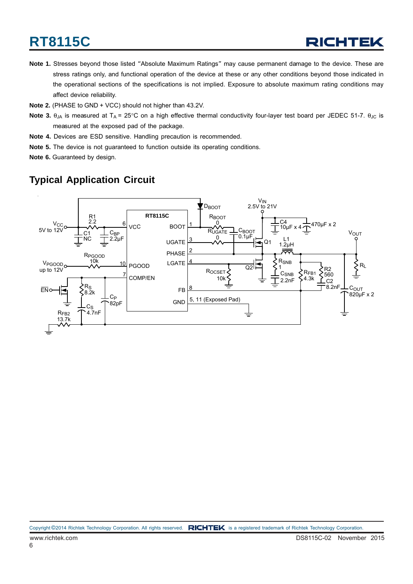- **Note 1.** Stresses beyond those listed "Absolute Maximum Ratings" may cause permanent damage to the device. These are stress ratings only, and functional operation of the device at these or any other conditions beyond those indicated in the operational sections of the specifications is not implied. Exposure to absolute maximum rating conditions may affect device reliability.
- **Note 2.** (PHASE to GND + VCC) should not higher than 43.2V.
- **Note 3.** θ<sub>JA</sub> is measured at T<sub>A</sub> = 25°C on a high effective thermal conductivity four-layer test board per JEDEC 51-7. θ<sub>JC</sub> is measured at the exposed pad of the package.
- **Note 4.** Devices are ESD sensitive. Handling precaution is recommended.
- **Note 5.** The device is not guaranteed to function outside its operating conditions.
- **Note 6.** Guaranteed by design.

### **Typical Application Circuit**

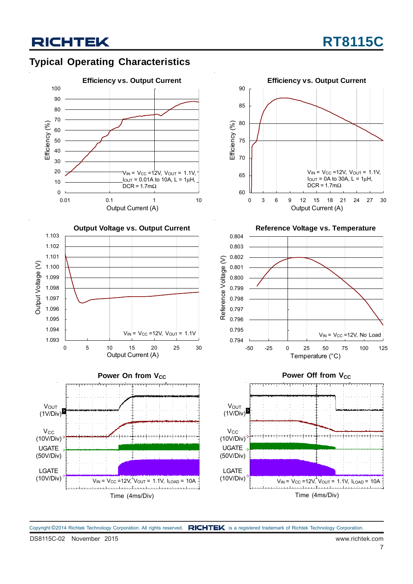### **Typical Operating Characteristics**



**Reference Voltage vs. Temperature** 0 3 6 9 12 15 18 21 24 27 30 Output Current (A)  $V_{IN}$  =  $V_{CC}$  =12V,  $V_{OUT}$  = 1.1V,  $I_{\text{OUT}} = 0$ A to 30A, L = 1 $\mu$ H, DCR =  $1.7 \text{m}\Omega$ 



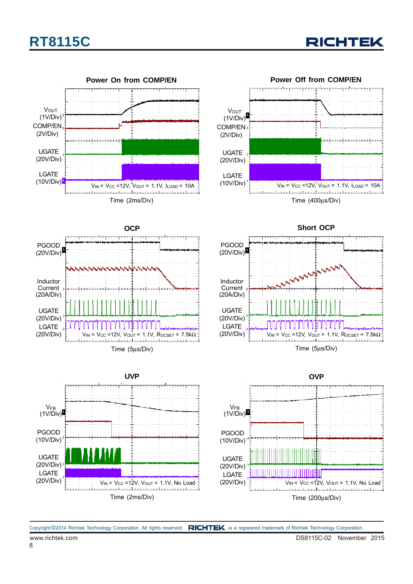



Time (200μs/Div)

Copyright ©2014 Richtek Technology Corporation. All rights reserved. RICHTEK is a registered trademark of Richtek Technology Corporation.

Time (2ms/Div)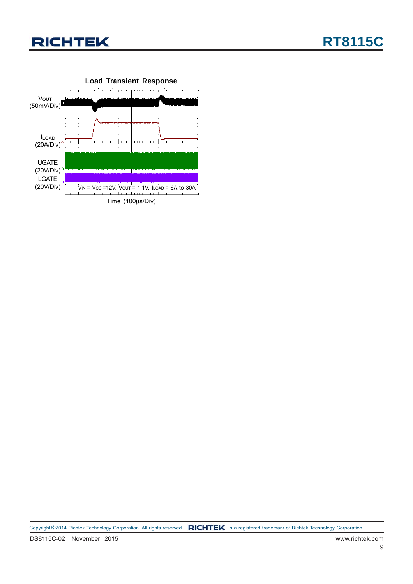

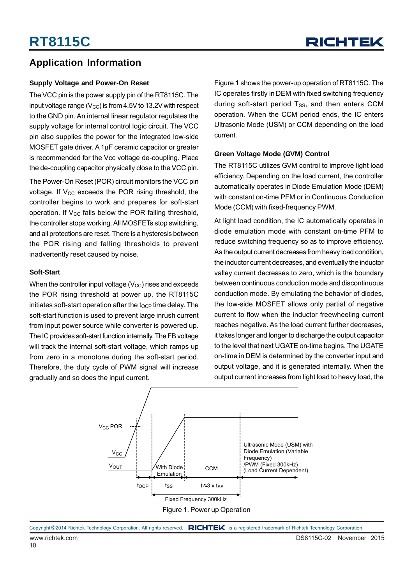### **Application Information**

#### **Supply Voltage and Power-On Reset**

The VCC pin is the power supply pin of the RT8115C. The input voltage range ( $V_{CC}$ ) is from 4.5V to 13.2V with respect to the GND pin. An internal linear regulator regulates the supply voltage for internal control logic circuit. The VCC pin also supplies the power for the integrated low-side MOSFET gate driver. A 1μF ceramic capacitor or greater is recommended for the Vcc voltage de-coupling. Place the de-coupling capacitor physically close to the VCC pin.

The Power-On Reset (POR) circuit monitors the VCC pin voltage. If  $V_{CC}$  exceeds the POR rising threshold, the controller begins to work and prepares for soft-start operation. If  $V_{CC}$  falls below the POR falling threshold, the controller stops working. All MOSFETs stop switching, and all protections are reset. There is a hysteresis between the POR rising and falling thresholds to prevent inadvertently reset caused by noise.

#### **Soft-Start**

When the controller input voltage  $(V_{CC})$  rises and exceeds the POR rising threshold at power up, the RT8115C initiates soft-start operation after the  $t<sub>OCP</sub>$  time delay. The soft-start function is used to prevent large inrush current from input power source while converter is powered up. The IC provides soft-start function internally. The FB voltage will track the internal soft-start voltage, which ramps up from zero in a monotone during the soft-start period. Therefore, the duty cycle of PWM signal will increase gradually and so does the input current.

Figure 1 shows the power-up operation of RT8115C. The IC operates firstly in DEM with fixed switching frequency during soft-start period  $T_{SS}$ , and then enters CCM operation. When the CCM period ends, the IC enters Ultrasonic Mode (USM) or CCM depending on the load current.

#### **Green Voltage Mode (GVM) Control**

The RT8115C utilizes GVM control to improve light load efficiency. Depending on the load current, the controller automatically operates in Diode Emulation Mode (DEM) with constant on-time PFM or in Continuous Conduction Mode (CCM) with fixed-frequency PWM.

At light load condition, the IC automatically operates in diode emulation mode with constant on-time PFM to reduce switching frequency so as to improve efficiency. As the output current decreases from heavy load condition, the inductor current decreases, and eventually the inductor valley current decreases to zero, which is the boundary between continuous conduction mode and discontinuous conduction mode. By emulating the behavior of diodes, the low-side MOSFET allows only partial of negative current to flow when the inductor freewheeling current reaches negative. As the load current further decreases, it takes longer and longer to discharge the output capacitor to the level that next UGATE on-time begins. The UGATE on-time in DEM is determined by the converter input and output voltage, and it is generated internally. When the output current increases from light load to heavy load, the

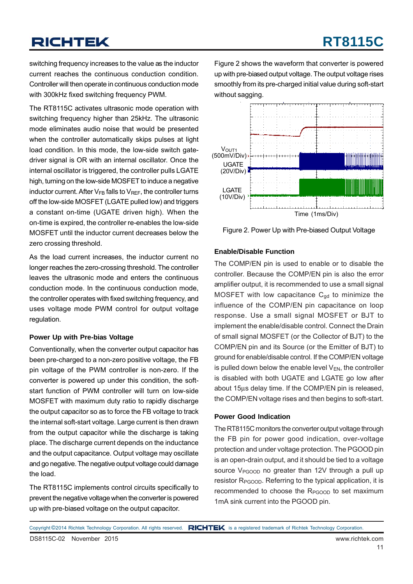switching frequency increases to the value as the inductor current reaches the continuous conduction condition. Controller will then operate in continuous conduction mode with 300kHz fixed switching frequency PWM.

The RT8115C activates ultrasonic mode operation with switching frequency higher than 25kHz. The ultrasonic mode eliminates audio noise that would be presented when the controller automatically skips pulses at light load condition. In this mode, the low-side switch gatedriver signal is OR with an internal oscillator. Once the internal oscillator is triggered, the controller pulls LGATE high, turning on the low-side MOSFET to induce a negative inductor current. After  $V_{FB}$  falls to  $V_{REF}$ , the controller turns off the low-side MOSFET (LGATE pulled low) and triggers a constant on-time (UGATE driven high). When the on-time is expired, the controller re-enables the low-side MOSFET until the inductor current decreases below the zero crossing threshold.

As the load current increases, the inductor current no longer reaches the zero-crossing threshold. The controller leaves the ultrasonic mode and enters the continuous conduction mode. In the continuous conduction mode, the controller operates with fixed switching frequency, and uses voltage mode PWM control for output voltage regulation.

#### **Power Up with Pre-bias Voltage**

Conventionally, when the converter output capacitor has been pre-charged to a non-zero positive voltage, the FB pin voltage of the PWM controller is non-zero. If the converter is powered up under this condition, the softstart function of PWM controller will turn on low-side MOSFET with maximum duty ratio to rapidly discharge the output capacitor so as to force the FB voltage to track the internal soft-start voltage. Large current is then drawn from the output capacitor while the discharge is taking place. The discharge current depends on the inductance and the output capacitance. Output voltage may oscillate and go negative. The negative output voltage could damage the load.

The RT8115C implements control circuits specifically to prevent the negative voltage when the converter is powered up with pre-biased voltage on the output capacitor.

Figure 2 shows the waveform that converter is powered up with pre-biased output voltage. The output voltage rises smoothly from its pre-charged initial value during soft-start without sagging.



Figure 2. Power Up with Pre-biased Output Voltage

#### **Enable/Disable Function**

The COMP/EN pin is used to enable or to disable the controller. Because the COMP/EN pin is also the error amplifier output, it is recommended to use a small signal MOSFET with low capacitance  $C_{gd}$  to minimize the influence of the COMP/EN pin capacitance on loop response. Use a small signal MOSFET or BJT to implement the enable/disable control. Connect the Drain of small signal MOSFET (or the Collector of BJT) to the COMP/EN pin and its Source (or the Emitter of BJT) to ground for enable/disable control. If the COMP/EN voltage is pulled down below the enable level  $V_{EN}$ , the controller is disabled with both UGATE and LGATE go low after about 15μs delay time. If the COMP/EN pin is released, the COMP/EN voltage rises and then begins to soft-start.

#### **Power Good Indication**

The RT8115C monitors the converter output voltage through the FB pin for power good indication, over-voltage protection and under voltage protection. The PGOOD pin is an open-drain output, and it should be tied to a voltage source  $V_{PGOOD}$  no greater than 12V through a pull up resistor R<sub>PGOOD</sub>. Referring to the typical application, it is recommended to choose the R<sub>PGOOD</sub> to set maximum 1mA sink current into the PGOOD pin.

Copyright ©2014 Richtek Technology Corporation. All rights reserved. RICHTEK is a registered trademark of Richtek Technology Corporation.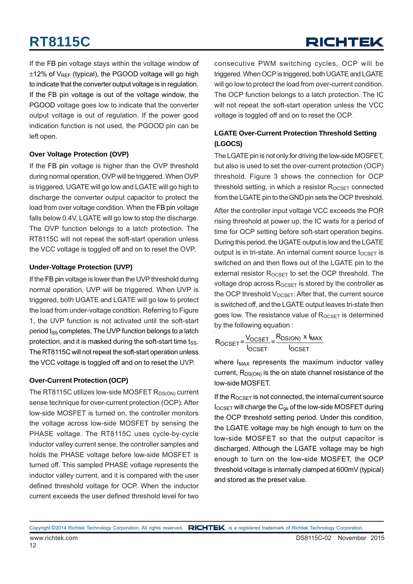## RICHTEK

If the FB pin voltage stays within the voltage window of  $\pm$ 12% of V<sub>RFF</sub> (typical), the PGOOD voltage will go high to indicate that the converter output voltage is in regulation. If the FB pin voltage is out of the voltage window, the PGOOD voltage goes low to indicate that the converter output voltage is out of regulation. If the power good indication function is not used, the PGOOD pin can be left open.

#### **Over Voltage Protection (OVP)**

If the FB pin voltage is higher than the OVP threshold during normal operation, OVP will be triggered. When OVP is triggered, UGATE will go low and LGATE will go high to discharge the converter output capacitor to protect the load from over voltage condition. When the FB pin voltage falls below 0.4V, LGATE will go low to stop the discharge. The OVP function belongs to a latch protection. The RT8115C will not repeat the soft-start operation unless the VCC voltage is toggled off and on to reset the OVP.

#### **Under-Voltage Protection (UVP)**

If the FB pin voltage is lower than the UVP threshold during normal operation, UVP will be triggered. When UVP is triggered, both UGATE and LGATE will go low to protect the load from under-voltage condition. Referring to Figure 1, the UVP function is not activated until the soft-start period t<sub>SS</sub> completes. The UVP function belongs to a latch protection, and it is masked during the soft-start time  $t_{SS}$ . The RT8115C will not repeat the soft-start operation unless the VCC voltage is toggled off and on to reset the UVP.

#### **Over-Current Protection (OCP)**

The RT8115C utilizes low-side MOSFET  $R_{DS(ON)}$  current sense technique for over-current protection (OCP). After low-side MOSFET is turned on, the controller monitors the voltage across low-side MOSFET by sensing the PHASE voltage. The RT8115C uses cycle-by-cycle inductor valley current sense, the controller samples and holds the PHASE voltage before low-side MOSFET is turned off. This sampled PHASE voltage represents the inductor valley current, and it is compared with the user defined threshold voltage for OCP. When the inductor current exceeds the user defined threshold level for two

consecutive PWM switching cycles, OCP will be triggered. When OCP is triggered, both UGATE and LGATE will go low to protect the load from over-current condition. The OCP function belongs to a latch protection. The IC will not repeat the soft-start operation unless the VCC voltage is toggled off and on to reset the OCP.

#### **LGATE Over-Current Protection Threshold Setting (LGOCS)**

The LGATE pin is not only for driving the low-side MOSFET, but also is used to set the over-current protection (OCP) threshold. Figure 3 shows the connection for OCP threshold setting, in which a resistor  $R_{OCSET}$  connected from the LGATE pin to the GND pin sets the OCP threshold.

After the controller input voltage VCC exceeds the POR rising threshold at power up, the IC waits for a period of time for OCP setting before soft-start operation begins. During this period, the UGATE output is low and the LGATE output is in tri-state. An internal current source  $I_{OCSET}$  is switched on and then flows out of the LGATE pin to the external resistor  $R_{OCSET}$  to set the OCP threshold. The voltage drop across  $R_{OCSET}$  is stored by the controller as the OCP threshold  $V_{OCSFT}$ . After that, the current source is switched off, and the LGATE output leaves tri-state then goes low. The resistance value of  $R_{OCSET}$  is determined by the following equation :

$$
R_{\text{OCSET}} = \frac{V_{\text{OCSET}}}{I_{\text{OCSET}}} = \frac{R_{\text{DS(ON)}} \times I_{\text{MAX}}}{I_{\text{OCSET}}}
$$

where  $I_{MAX}$  represents the maximum inductor valley current,  $R_{DS(ON)}$  is the on state channel resistance of the low-side MOSFET.

If the  $R_{OCSET}$  is not connected, the internal current source  $I_{OCSET}$  will charge the  $C_{gs}$  of the low-side MOSFET during the OCP threshold setting period. Under this condition, the LGATE voltage may be high enough to turn on the low-side MOSFET so that the output capacitor is discharged. Although the LGATE voltage may be high enough to turn on the low-side MOSFET, the OCP threshold voltage is internally clamped at 600mV (typical) and stored as the preset value.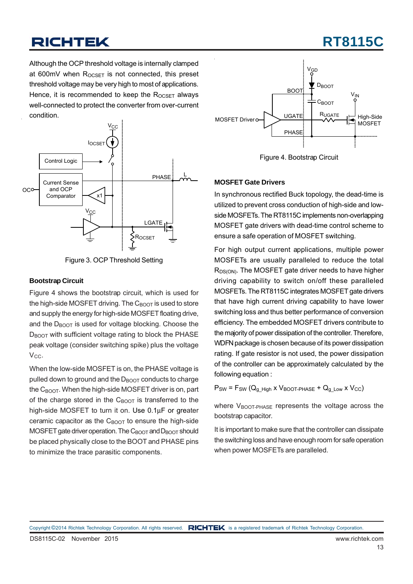## **RT8115C**

Although the OCP threshold voltage is internally clamped at 600mV when  $R_{OCSFT}$  is not connected, this preset threshold voltage may be very high to most of applications. Hence, it is recommended to keep the  $R_{OCSET}$  always well-connected to protect the converter from over-current condition.



Figure 3. OCP Threshold Setting

#### **Bootstrap Circuit**

Figure 4 shows the bootstrap circuit, which is used for the high-side MOSFET driving. The  $C_{\text{BODT}}$  is used to store and supply the energy for high-side MOSFET floating drive, and the  $D_{\text{BOOT}}$  is used for voltage blocking. Choose the D<sub>BOOT</sub> with sufficient voltage rating to block the PHASE peak voltage (consider switching spike) plus the voltage V<sub>CC</sub>.

When the low-side MOSFET is on, the PHASE voltage is pulled down to ground and the  $D_{\text{BOOT}}$  conducts to charge the  $C_{\text{BOOT}}$ . When the high-side MOSFET driver is on, part of the charge stored in the  $C_{\text{BODT}}$  is transferred to the high-side MOSFET to turn it on. Use 0.1μF or greater ceramic capacitor as the  $C_{\text{BOOT}}$  to ensure the high-side MOSFET gate driver operation. The  $C_{\text{BOOT}}$  and  $D_{\text{BOOT}}$  should be placed physically close to the BOOT and PHASE pins to minimize the trace parasitic components.



Figure 4. Bootstrap Circuit

#### **MOSFET Gate Drivers**

In synchronous rectified Buck topology, the dead-time is utilized to prevent cross conduction of high-side and lowside MOSFETs. The RT8115C implements non-overlapping MOSFET gate drivers with dead-time control scheme to ensure a safe operation of MOSFET switching.

For high output current applications, multiple power MOSFETs are usually paralleled to reduce the total  $R_{DS(ON)}$ . The MOSFET gate driver needs to have higher driving capability to switch on/off these paralleled MOSFETs. The RT8115C integrates MOSFET gate drivers that have high current driving capability to have lower switching loss and thus better performance of conversion efficiency. The embedded MOSFET drivers contribute to the majority of power dissipation of the controller. Therefore, WDFN package is chosen because of its power dissipation rating. If gate resistor is not used, the power dissipation of the controller can be approximately calculated by the following equation :

 $P_{SW}$  =  $F_{SW}$  ( $Q_{g_H}$ <sub>High</sub> x  $V_{BOOT-PHASE}$  +  $Q_{g_L}$ <sub>Low</sub> x  $V_{CC}$ )

where  $V_{\text{BOOT-PHASE}}$  represents the voltage across the bootstrap capacitor.

It is important to make sure that the controller can dissipate the switching loss and have enough room for safe operation when power MOSFETs are paralleled.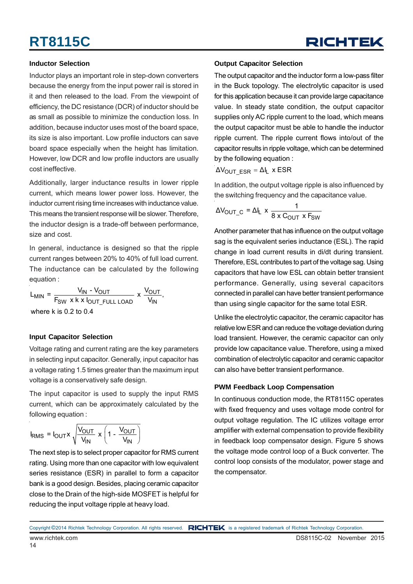#### **Inductor Selection**

Inductor plays an important role in step-down converters because the energy from the input power rail is stored in it and then released to the load. From the viewpoint of efficiency, the DC resistance (DCR) of inductor should be as small as possible to minimize the conduction loss. In addition, because inductor uses most of the board space, its size is also important. Low profile inductors can save board space especially when the height has limitation. However, low DCR and low profile inductors are usually cost ineffective.

Additionally, larger inductance results in lower ripple current, which means lower power loss. However, the inductor current rising time increases with inductance value. This means the transient response will be slower. Therefore, the inductor design is a trade-off between performance, size and cost.

In general, inductance is designed so that the ripple current ranges between 20% to 40% of full load current. The inductance can be calculated by the following equation :

 $L_{MIN} = \frac{V_{IN} - V_{OUT}}{F_{SW} \times k \times I_{OUT\_FULL}\text{ LOAD}} \times \frac{V_{OUT}}{V_{IN}},$ where k is 0.2 to 0.4

#### **Input Capacitor Selection**

Voltage rating and current rating are the key parameters in selecting input capacitor. Generally, input capacitor has a voltage rating 1.5 times greater than the maximum input voltage is a conservatively safe design.

The input capacitor is used to supply the input RMS current, which can be approximately calculated by the following equation :

$$
I_{RMS} = I_{OUT} \times \sqrt{\frac{V_{OUT}}{V_{IN}}} \times \left(1 - \frac{V_{OUT}}{V_{IN}}\right)
$$

The next step is to select proper capacitor for RMS current rating. Using more than one capacitor with low equivalent series resistance (ESR) in parallel to form a capacitor bank is a good design. Besides, placing ceramic capacitor close to the Drain of the high-side MOSFET is helpful for reducing the input voltage ripple at heavy load.

#### **Output Capacitor Selection**

The output capacitor and the inductor form a low-pass filter in the Buck topology. The electrolytic capacitor is used for this application because it can provide large capacitance value. In steady state condition, the output capacitor supplies only AC ripple current to the load, which means the output capacitor must be able to handle the inductor ripple current. The ripple current flows into/out of the capacitor results in ripple voltage, which can be determined by the following equation :

 $\Delta V_{\text{OUT ESR}} = \Delta I_L$  x ESR

In addition, the output voltage ripple is also influenced by the switching frequency and the capacitance value.

$$
\Delta V_{\text{OUT\_C}} = \Delta I_{L} \times \frac{1}{8 \times C_{\text{OUT}} \times F_{\text{SW}}}
$$

Another parameter that has influence on the output voltage sag is the equivalent series inductance (ESL). The rapid change in load current results in di/dt during transient. Therefore, ESL contributes to part of the voltage sag. Using capacitors that have low ESL can obtain better transient performance. Generally, using several capacitors connected in parallel can have better transient performance than using single capacitor for the same total ESR.

Unlike the electrolytic capacitor, the ceramic capacitor has relative low ESR and can reduce the voltage deviation during load transient. However, the ceramic capacitor can only provide low capacitance value. Therefore, using a mixed combination of electrolytic capacitor and ceramic capacitor can also have better transient performance.

#### **PWM Feedback Loop Compensation**

In continuous conduction mode, the RT8115C operates with fixed frequency and uses voltage mode control for output voltage regulation. The IC utilizes voltage error amplifier with external compensation to provide flexibility in feedback loop compensator design. Figure 5 shows the voltage mode control loop of a Buck converter. The control loop consists of the modulator, power stage and the compensator.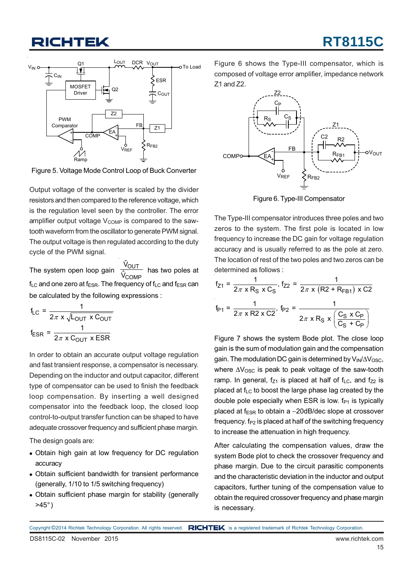## **CHTEK**



Figure 5. Voltage Mode Control Loop of Buck Converter

Output voltage of the converter is scaled by the divider resistors and then compared to the reference voltage, which is the regulation level seen by the controller. The error amplifier output voltage  $V_{\text{COMP}}$  is compared to the sawtooth waveform from the oscillator to generate PWM signal. The output voltage is then regulated according to the duty cycle of the PWM signal.

The system open loop gain  $f_{LC}$  and one zero at  $f_{ESR}$ . The frequency of  $f_{LC}$  and  $f_{ESR}$  can be calculated by the following expressions : OUT COMP Vˆ Vˆ

$$
f_{LC} = \frac{1}{2\pi \times \sqrt{L_{OUT} \times C_{OUT}}}
$$

$$
f_{ESR} = \frac{1}{2\pi \times C_{OUT} \times ESR}
$$

In order to obtain an accurate output voltage regulation and fast transient response, a compensator is necessary. Depending on the inductor and output capacitor, different type of compensator can be used to finish the feedback loop compensation. By inserting a well designed compensator into the feedback loop, the closed loop control-to-output transfer function can be shaped to have adequate crossover frequency and sufficient phase margin.

The design goals are:

- Obtain high gain at low frequency for DC regulation accuracy
- Obtain sufficient bandwidth for transient performance (generally, 1/10 to 1/5 switching frequency)
- Obtain sufficient phase margin for stability (generally  $>45^\circ$ )

Figure 6 shows the Type-III compensator, which is composed of voltage error amplifier, impedance network Z1 and Z2.



Figure 6. Type-III Compensator

The Type-III compensator introduces three poles and two zeros to the system. The first pole is located in low frequency to increase the DC gain for voltage regulation accuracy and is usually referred to as the pole at zero. The location of rest of the two poles and two zeros can be determined as follows :

$$
f_{Z1} = \frac{1}{2\pi \times R_S \times C_S}, f_{Z2} = \frac{1}{2\pi \times (R2 + R_{FB1}) \times C2}
$$

$$
f_{P1} = \frac{1}{2\pi \times R2 \times C2}, f_{P2} = \frac{1}{2\pi \times R_S \times \left(\frac{C_S \times C_P}{C_S + C_P}\right)}
$$

Figure 7 shows the system Bode plot. The close loop gain is the sum of modulation gain and the compensation gain. The modulation DC gain is determined by V<sub>IN</sub>/ΔV<sub>OSC</sub>, where  $\Delta V_{\rm OSC}$  is peak to peak voltage of the saw-tooth ramp. In general,  $f_{Z1}$  is placed at half of  $f_{LC}$ , and  $f_{Z2}$  is placed at  $f_{LC}$  to boost the large phase lag created by the double pole especially when ESR is low.  $f_{P1}$  is typically placed at  $f_{ESR}$  to obtain a  $-20$ dB/dec slope at crossover frequency,  $f_{P2}$  is placed at half of the switching frequency to increase the attenuation in high frequency.

After calculating the compensation values, draw the system Bode plot to check the crossover frequency and phase margin. Due to the circuit parasitic components and the characteristic deviation in the inductor and output capacitors, further tuning of the compensation value to obtain the required crossover frequency and phase margin is necessary.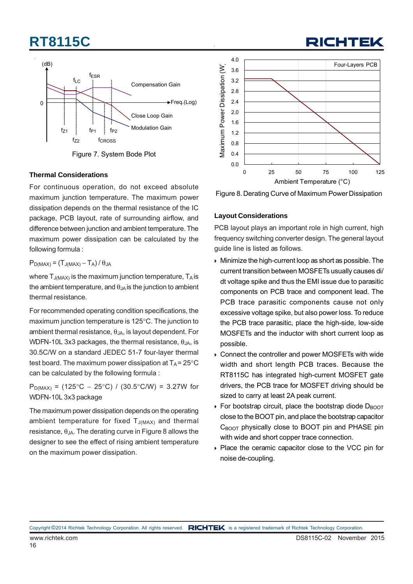

Figure 7. System Bode Plot

#### **Thermal Considerations**

For continuous operation, do not exceed absolute maximum junction temperature. The maximum power dissipation depends on the thermal resistance of the IC package, PCB layout, rate of surrounding airflow, and difference between junction and ambient temperature. The maximum power dissipation can be calculated by the following formula :

 $P_{D(MAX)} = (T_{J(MAX)} - T_A)/\theta_{JA}$ 

where  $T_{J(MAX)}$  is the maximum junction temperature.  $T_A$  is the ambient temperature, and  $\theta_{JA}$  is the junction to ambient thermal resistance.

For recommended operating condition specifications, the maximum junction temperature is 125°C. The junction to ambient thermal resistance,  $\theta_{JA}$ , is layout dependent. For WDFN-10L 3x3 packages, the thermal resistance,  $\theta_{JA}$ , is 30.5C/W on a standard JEDEC 51-7 four-layer thermal test board. The maximum power dissipation at  $T_A = 25^{\circ}C$ can be calculated by the following formula :

 $P_{D(MAX)}$  = (125°C − 25°C) / (30.5°C/W) = 3.27W for WDFN-10L 3x3 package

The maximum power dissipation depends on the operating ambient temperature for fixed  $T_{J(MAX)}$  and thermal resistance,  $\theta_{JA}$ . The derating curve in Figure 8 allows the designer to see the effect of rising ambient temperature on the maximum power dissipation.



Figure 8. Derating Curve of Maximum Power Dissipation

#### **Layout Considerations**

PCB layout plays an important role in high current, high frequency switching converter design. The general layout guide line is listed as follows.

- Minimize the high-current loop as short as possible. The current transition between MOSFETs usually causes di/ dt voltage spike and thus the EMI issue due to parasitic components on PCB trace and component lead. The PCB trace parasitic components cause not only excessive voltage spike, but also power loss. To reduce the PCB trace parasitic, place the high-side, low-side MOSFETs and the inductor with short current loop as possible.
- ▶ Connect the controller and power MOSFETs with wide width and short length PCB traces. Because the RT8115C has integrated high-current MOSFET gate drivers, the PCB trace for MOSFET driving should be sized to carry at least 2A peak current.
- For bootstrap circuit, place the bootstrap diode  $D_{\text{BOOT}}$ close to the BOOT pin, and place the bootstrap capacitor  $C_{\text{BOOT}}$  physically close to BOOT pin and PHASE pin with wide and short copper trace connection.
- Place the ceramic capacitor close to the VCC pin for noise de-coupling.

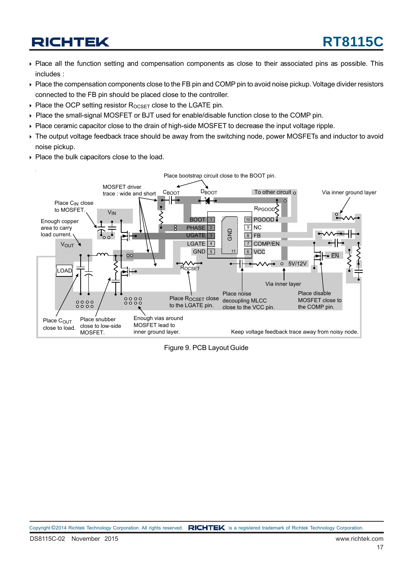- Place all the function setting and compensation components as close to their associated pins as possible. This includes :
- Place the compensation components close to the FB pin and COMP pin to avoid noise pickup. Voltage divider resistors connected to the FB pin should be placed close to the controller.
- $\triangleright$  Place the OCP setting resistor  $R_{OCSFT}$  close to the LGATE pin.
- Place the small-signal MOSFET or BJT used for enable/disable function close to the COMP pin.
- Place ceramic capacitor close to the drain of high-side MOSFET to decrease the input voltage ripple.
- The output voltage feedback trace should be away from the switching node, power MOSFETs and inductor to avoid noise pickup.
- Place the bulk capacitors close to the load.



Figure 9. PCB Layout Guide